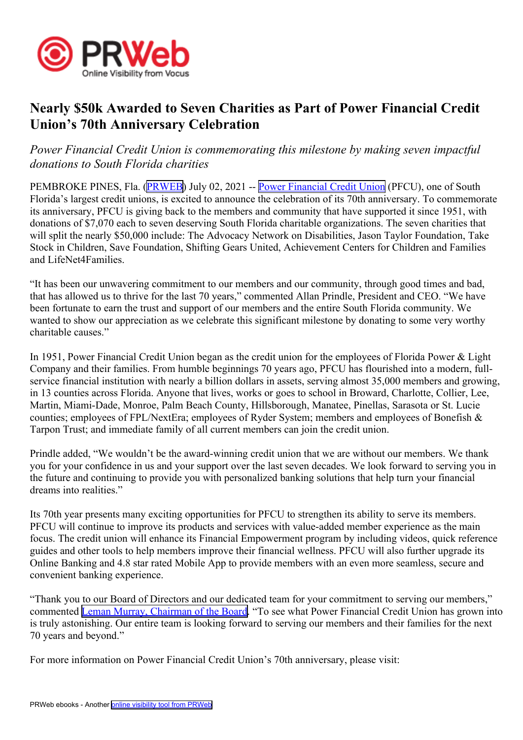

## **Nearly \$50k Awarded to Seven Charities as Part of Power Financial Credit Union's 70th Anniversary Celebration**

## *Power Financial Credit Union is commemorating this milestone by making seven impactful donations to South Florida charities*

PEMBROKE PINES, Fla. ([PRWEB](http://www.prweb.com)) July 02, 2021 -- Power [Financial](https://www.powerfi.org/) Credit Union (PFCU), one of South Florida's largest credit unions, is excited to announce the celebration of its 70th anniversary. To commemorate its anniversary, PFCU is giving back to the members and community that have supported it since 1951, with donations of \$7,070 each to seven deserving South Florida charitable organizations. The seven charities that will split the nearly \$50,000 include: The Advocacy Network on Disabilities, Jason Taylor Foundation, Take Stock in Children, Save Foundation, Shifting Gears United, Achievement Centers for Children and Families and LifeNet4Families.

"It has been our unwavering commitment to our members and our community, through good times and bad, that has allowed us to thrive for the last 70 years," commented Allan Prindle, President and CEO. "We have been fortunate to earn the trust and suppor<sup>t</sup> of our members and the entire South Florida community. We wanted to show our appreciation as we celebrate this significant milestone by donating to some very worthy charitable causes."

In 1951, Power Financial Credit Union began as the credit union for the employees of Florida Power & Light Company and their families. From humble beginnings 70 years ago, PFCU has flourished into <sup>a</sup> modern, fullservice financial institution with nearly <sup>a</sup> billion dollars in assets, serving almost 35,000 members and growing, in 13 counties across Florida. Anyone that lives, works or goes to school in Broward, Charlotte, Collier, Lee, Martin, Miami-Dade, Monroe, Palm Beach County, Hillsborough, Manatee, Pinellas, Sarasota or St. Lucie counties; employees of FPL/NextEra; employees of Ryder System; members and employees of Bonefish & Tarpon Trust; and immediate family of all current members can join the credit union.

Prindle added, "We wouldn't be the award-winning credit union that we are without our members. We thank you for your confidence in us and your suppor<sup>t</sup> over the last seven decades. We look forward to serving you in the future and continuing to provide you with personalized banking solutions that help turn your financial dreams into realities."

Its 70th year presents many exciting opportunities for PFCU to strengthen its ability to serve its members. PFCU will continue to improve its products and services with value-added member experience as the main focus. The credit union will enhance its Financial Empowerment program by including videos, quick reference guides and other tools to help members improve their financial wellness. PFCU will also further upgrade its Online Banking and 4.8 star rated Mobile App to provide members with an even more seamless, secure and convenient banking experience.

"Thank you to our Board of Directors and our dedicated team for your commitment to serving our members," commented Leman Murray, [Chairman](https://www.powerfi.org/About/Our-Credit-Union/Board-of-Directors) of the Board. "To see what Power Financial Credit Union has grown into is truly astonishing. Our entire team is looking forward to serving our members and their families for the next 70 years and beyond."

For more information on Power Financial Credit Union's 70th anniversary, please visit: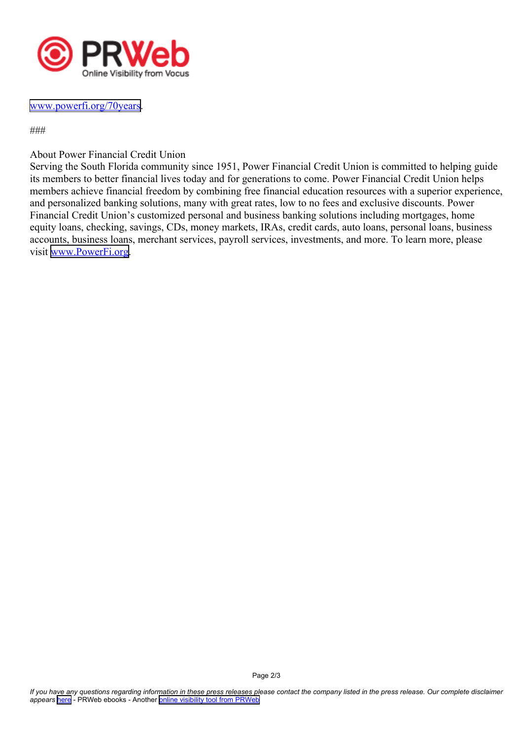

## www.power[fi.org/70years](https://www.powerfi.org/About/70years).

###

About Power Financial Credit Union

Serving the South Florida community since 1951, Power Financial Credit Union is committed to helping guide its members to better financial lives today and for generations to come. Power Financial Credit Union helps members achieve financial freedom by combining free financial education resources with <sup>a</sup> superior experience, and personalized banking solutions, many with grea<sup>t</sup> rates, low to no fees and exclusive discounts. Power Financial Credit Union's customized personal and business banking solutions including mortgages, home equity loans, checking, savings, CDs, money markets, IRAs, credit cards, auto loans, personal loans, business accounts, business loans, merchant services, payroll services, investments, and more. To learn more, please visit [www.PowerFi.org](https://www.powerfi.org/).